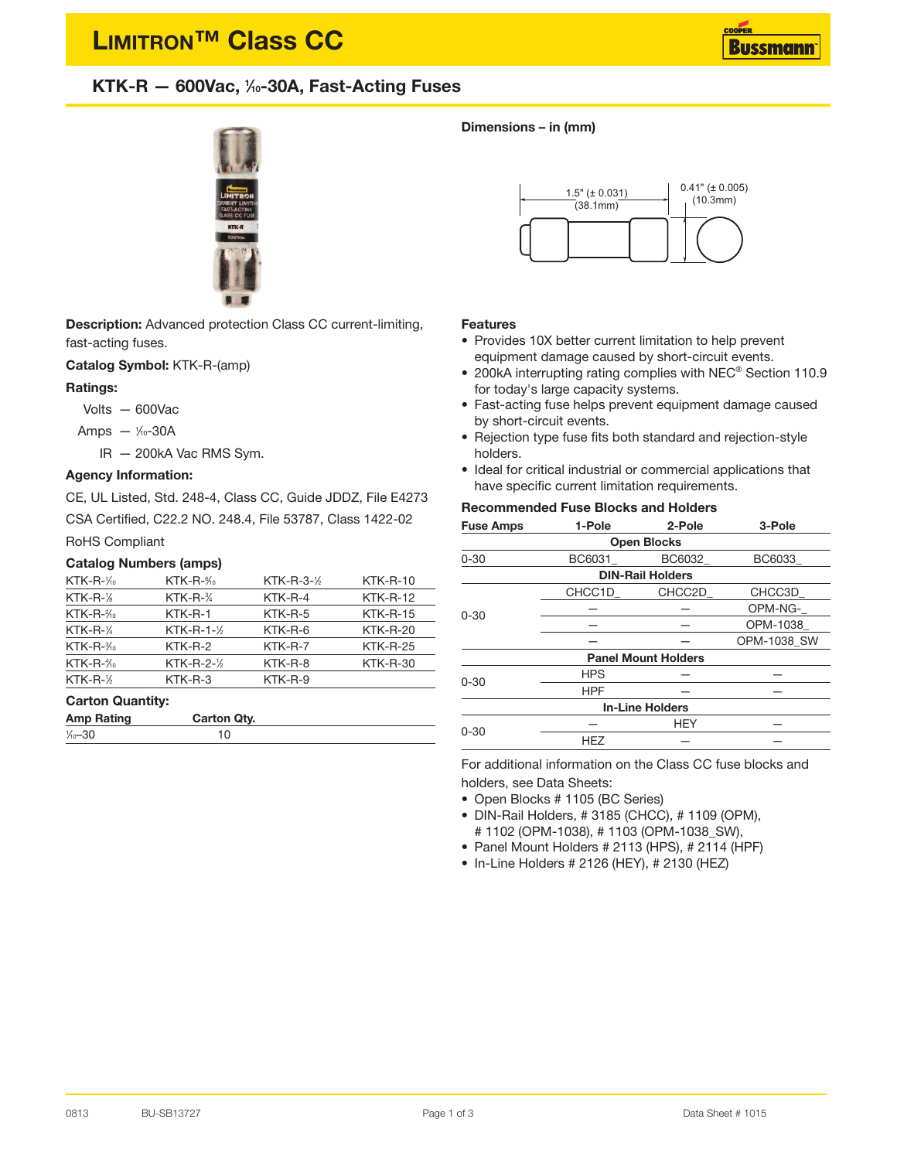# **LIMITRON™ Class CC**



# **KTK-R — 600Vac, <sup>1</sup> ⁄10-30A, Fast-Acting Fuses**



**Description:** Advanced protection Class CC current-limiting, fast-acting fuses.

**Catalog Symbol:** KTK-R-(amp)

#### **Ratings:**

- Volts 600Vac
- Amps 1/<sub>0</sub>-30A

IR — 200kA Vac RMS Sym.

## **Agency Information:**

CE, UL Listed, Std. 248-4, Class CC, Guide JDDZ, File E4273

CSA Certified, C22.2 NO. 248.4, File 53787, Class 1422-02

## RoHS Compliant

#### **Catalog Numbers (amps)**

| $KTK-R-\frac{1}{10}$ | $KTK-R-\frac{6}{10}$  | KTK-R-3- $\frac{1}{2}$ | <b>KTK-R-10</b> |
|----------------------|-----------------------|------------------------|-----------------|
| $KTK-R-\frac{1}{6}$  | $KTK-R-\frac{3}{4}$   | KTK-R-4                | $KTK-R-12$      |
| $KTK-R-\frac{2}{10}$ | KTK-R-1               | $KTK-R-5$              | $KTK-R-15$      |
| $KTK-R-\frac{1}{4}$  | $KTK-R-1-\frac{1}{2}$ | KTK-R-6                | $KTK-R-20$      |
| $KTK-R-\frac{3}{10}$ | $KTK-R-2$             | KTK-R-7                | $KTK-R-25$      |
| $KTK-R-\frac{4}{10}$ | $KTK-R-2-\frac{1}{2}$ | KTK-R-8                | $KTK-R-30$      |
| $KTK-R-\frac{1}{2}$  | $KTK-R-3$             | KTK-R-9                |                 |

#### **Carton Quantity:**

| <b>Amp Rating</b>  | <b>Carton Qty.</b> |  |
|--------------------|--------------------|--|
| $\frac{1}{0} - 30$ |                    |  |

#### **Dimensions – in (mm)**



#### **Features**

- Provides 10X better current limitation to help prevent equipment damage caused by short-circuit events.
- 200kA interrupting rating complies with NEC® Section 110.9 for today's large capacity systems.
- Fast-acting fuse helps prevent equipment damage caused by short-circuit events.
- Rejection type fuse fits both standard and rejection-style holders.
- Ideal for critical industrial or commercial applications that have specific current limitation requirements.

## **Recommended Fuse Blocks and Holders**

| <b>Fuse Amps</b>           | 1-Pole     | 2-Pole                 | 3-Pole      |  |  |  |
|----------------------------|------------|------------------------|-------------|--|--|--|
| <b>Open Blocks</b>         |            |                        |             |  |  |  |
| $0 - 30$                   | BC6031     | BC6032                 | BC6033      |  |  |  |
| <b>DIN-Rail Holders</b>    |            |                        |             |  |  |  |
| $0 - 30$                   | CHCC1D     | CHCC2D                 | CHCC3D      |  |  |  |
|                            |            |                        | OPM-NG-     |  |  |  |
|                            |            |                        | OPM-1038    |  |  |  |
|                            |            |                        | OPM-1038 SW |  |  |  |
| <b>Panel Mount Holders</b> |            |                        |             |  |  |  |
| $0 - 30$                   | <b>HPS</b> |                        |             |  |  |  |
|                            | <b>HPF</b> |                        |             |  |  |  |
|                            |            | <b>In-Line Holders</b> |             |  |  |  |
| $0 - 30$                   |            | <b>HEY</b>             |             |  |  |  |
|                            | <b>HEZ</b> |                        |             |  |  |  |

For additional information on the Class CC fuse blocks and holders, see Data Sheets:

- Open Blocks # 1105 (BC Series)
- DIN-Rail Holders, # 3185 (CHCC), # 1109 (OPM), # 1102 (OPM-1038), # 1103 (OPM-1038\_SW),
- Panel Mount Holders # 2113 (HPS), # 2114 (HPF)
- In-Line Holders # 2126 (HEY), # 2130 (HEZ)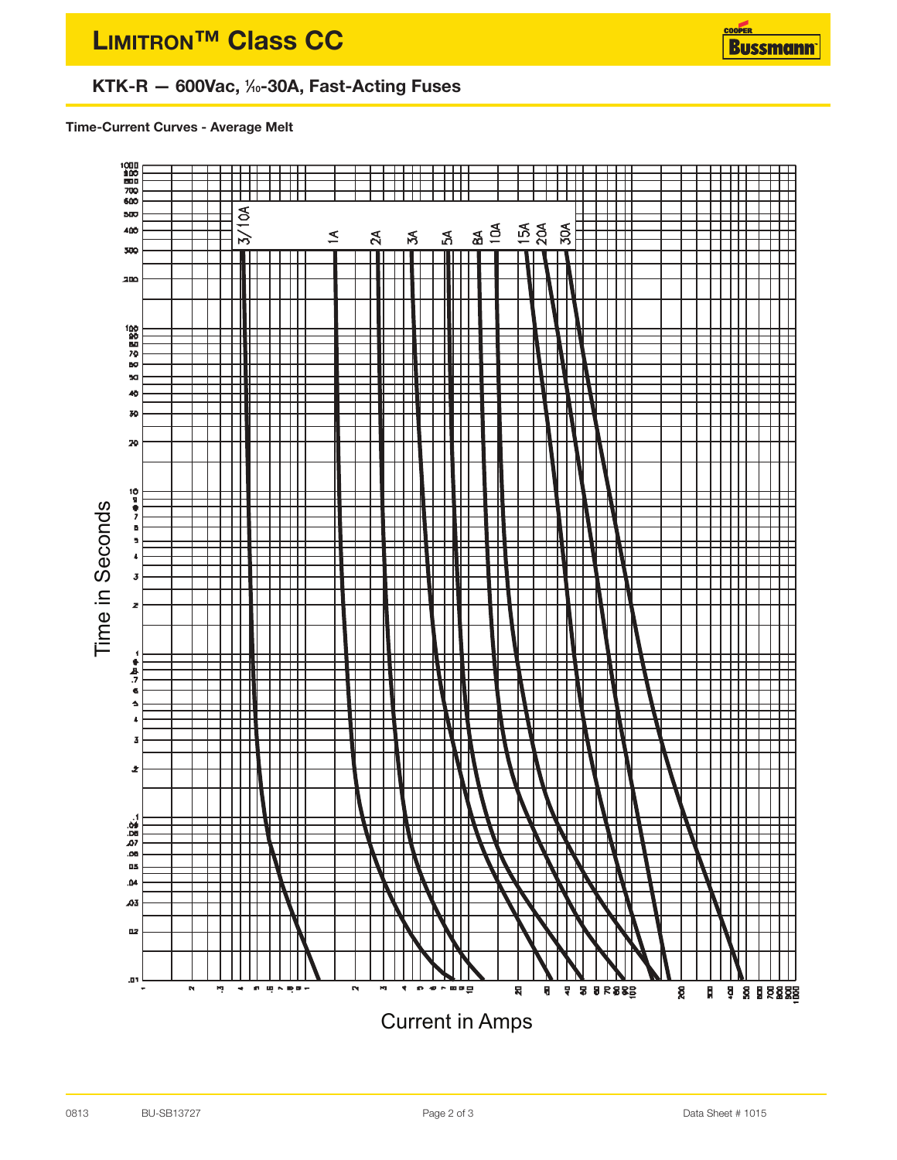# **KTK-R — 600Vac, <sup>1</sup> ⁄10-30A, Fast-Acting Fuses**

**Time-Current Curves - Average Melt**